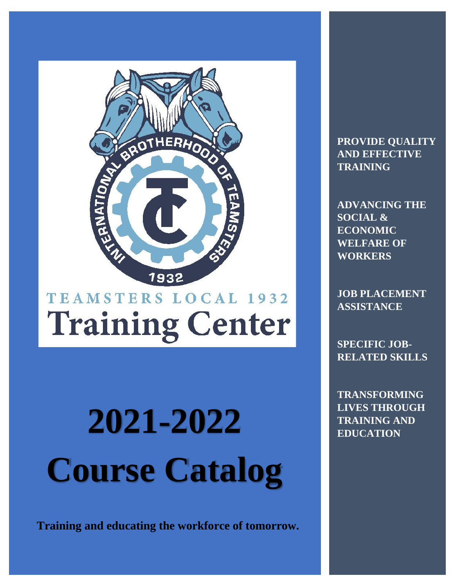

## TEAMSTERS LOCAL 1932 **Training Center**

# **2021-2022 EDUCATION Course Catalog**

**Training and educating the workforce of tomorrow.**

**PROVIDE QUALITY AND EFFECTIVE TRAINING**

**ADVANCING THE SOCIAL & ECONOMIC WELFARE OF WORKERS**

**JOB PLACEMENT ASSISTANCE**

**SPECIFIC JOB-RELATED SKILLS**

**TRANSFORMING LIVES THROUGH**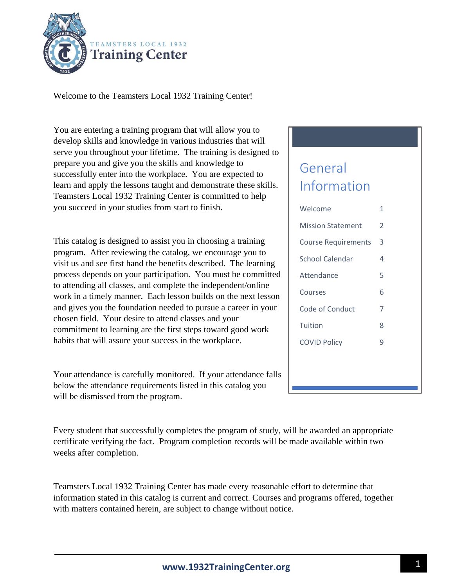

Welcome to the Teamsters Local 1932 Training Center!

You are entering a training program that will allow you to develop skills and knowledge in various industries that will serve you throughout your lifetime. The training is designed to prepare you and give you the skills and knowledge to successfully enter into the workplace. You are expected to learn and apply the lessons taught and demonstrate these skills. Teamsters Local 1932 Training Center is committed to help you succeed in your studies from start to finish.

This catalog is designed to assist you in choosing a training program. After reviewing the catalog, we encourage you to visit us and see first hand the benefits described. The learning process depends on your participation. You must be committed to attending all classes, and complete the independent/online work in a timely manner. Each lesson builds on the next lesson and gives you the foundation needed to pursue a career in your chosen field. Your desire to attend classes and your commitment to learning are the first steps toward good work habits that will assure your success in the workplace.

Your attendance is carefully monitored. If your attendance falls below the attendance requirements listed in this catalog you will be dismissed from the program.

#### Every student that successfully completes the program of study, will be awarded an appropriate certificate verifying the fact. Program completion records will be made available within two weeks after completion.

Teamsters Local 1932 Training Center has made every reasonable effort to determine that information stated in this catalog is current and correct. Courses and programs offered, together with matters contained herein, are subject to change without notice.

### General Information

| Welcome                    | 1 |
|----------------------------|---|
| <b>Mission Statement</b>   | 2 |
| <b>Course Requirements</b> | 3 |
| School Calendar            | 4 |
| Attendance                 | 5 |
| Courses                    | 6 |
| Code of Conduct            | 7 |
| Tuition                    | 8 |
| <b>COVID Policy</b>        | 9 |
|                            |   |
|                            |   |
|                            |   |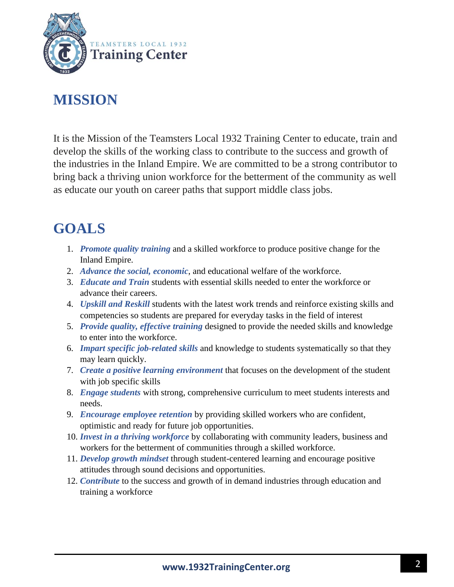

### **MISSION**

It is the Mission of the Teamsters Local 1932 Training Center to educate, train and develop the skills of the working class to contribute to the success and growth of the industries in the Inland Empire. We are committed to be a strong contributor to bring back a thriving union workforce for the betterment of the community as well as educate our youth on career paths that support middle class jobs.

### **GOALS**

- 1. *Promote quality training* and a skilled workforce to produce positive change for the Inland Empire.
- 2. *Advance the social, economic*, and educational welfare of the workforce.
- 3. *Educate and Train* students with essential skills needed to enter the workforce or advance their careers.
- 4. *Upskill and Reskill* students with the latest work trends and reinforce existing skills and competencies so students are prepared for everyday tasks in the field of interest
- 5. *Provide quality, effective training* designed to provide the needed skills and knowledge to enter into the workforce.
- 6. *Impart specific job-related skills* and knowledge to students systematically so that they may learn quickly.
- 7. *Create a positive learning environment* that focuses on the development of the student with job specific skills
- 8. *Engage students* with strong, comprehensive curriculum to meet students interests and needs.
- 9. *Encourage employee retention* by providing skilled workers who are confident, optimistic and ready for future job opportunities.
- 10. *Invest in a thriving workforce* by collaborating with community leaders, business and workers for the betterment of communities through a skilled workforce.
- 11. *Develop growth mindset* through student-centered learning and encourage positive attitudes through sound decisions and opportunities.
- 12. *Contribute* to the success and growth of in demand industries through education and training a workforce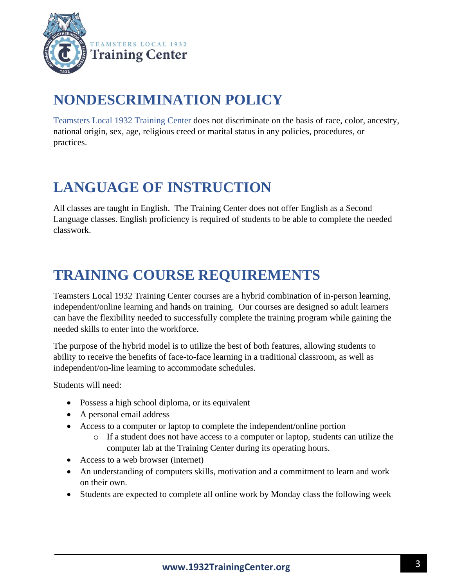

### **NONDESCRIMINATION POLICY**

Teamsters Local 1932 Training Center does not discriminate on the basis of race, color, ancestry, national origin, sex, age, religious creed or marital status in any policies, procedures, or practices.

### **LANGUAGE OF INSTRUCTION**

All classes are taught in English. The Training Center does not offer English as a Second Language classes. English proficiency is required of students to be able to complete the needed classwork.

### **TRAINING COURSE REQUIREMENTS**

Teamsters Local 1932 Training Center courses are a hybrid combination of in-person learning, independent/online learning and hands on training. Our courses are designed so adult learners can have the flexibility needed to successfully complete the training program while gaining the needed skills to enter into the workforce.

The purpose of the hybrid model is to utilize the best of both features, allowing students to ability to receive the benefits of face-to-face learning in a traditional classroom, as well as independent/on-line learning to accommodate schedules.

Students will need:

- Possess a high school diploma, or its equivalent
- A personal email address
- Access to a computer or laptop to complete the independent/online portion
	- o If a student does not have access to a computer or laptop, students can utilize the computer lab at the Training Center during its operating hours.
- Access to a web browser (internet)
- An understanding of computers skills, motivation and a commitment to learn and work on their own.
- Students are expected to complete all online work by Monday class the following week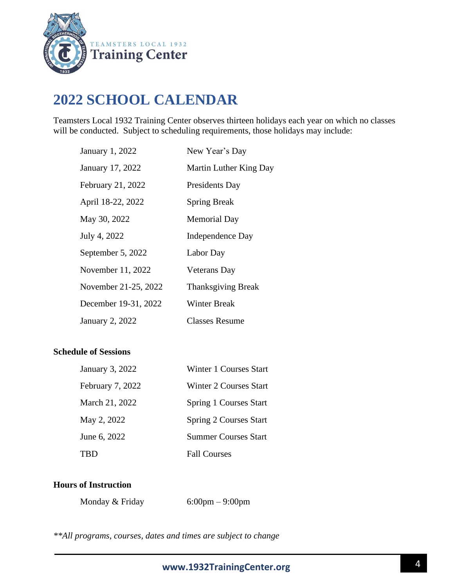

### **2022 SCHOOL CALENDAR**

Teamsters Local 1932 Training Center observes thirteen holidays each year on which no classes will be conducted. Subject to scheduling requirements, those holidays may include:

| January 1, 2022      | New Year's Day            |
|----------------------|---------------------------|
| January 17, 2022     | Martin Luther King Day    |
| February 21, 2022    | Presidents Day            |
| April 18-22, 2022    | <b>Spring Break</b>       |
| May 30, 2022         | <b>Memorial Day</b>       |
| July 4, 2022         | Independence Day          |
| September 5, 2022    | Labor Day                 |
| November 11, 2022    | <b>Veterans</b> Day       |
| November 21-25, 2022 | <b>Thanksgiving Break</b> |
| December 19-31, 2022 | Winter Break              |
| January 2, 2022      | <b>Classes Resume</b>     |

#### **Schedule of Sessions**

| January 3, 2022  | Winter 1 Courses Start        |
|------------------|-------------------------------|
| February 7, 2022 | Winter 2 Courses Start        |
| March 21, 2022   | <b>Spring 1 Courses Start</b> |
| May 2, 2022      | <b>Spring 2 Courses Start</b> |
| June 6, 2022     | <b>Summer Courses Start</b>   |
| TRD              | <b>Fall Courses</b>           |

#### **Hours of Instruction**

| Monday & Friday | $6:00 \text{pm} - 9:00 \text{pm}$ |
|-----------------|-----------------------------------|
|                 |                                   |

*\*\*All programs, courses, dates and times are subject to change*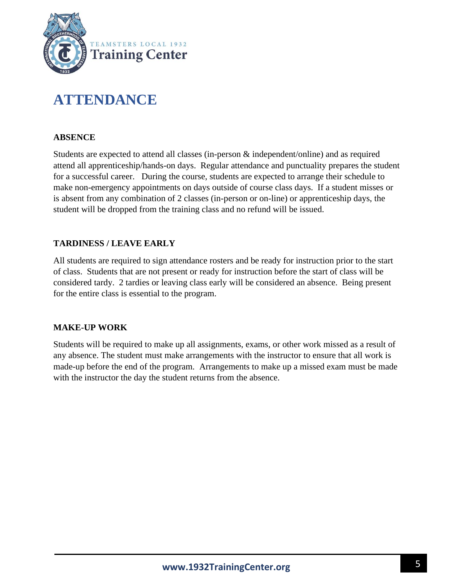

### **ATTENDANCE**

#### **ABSENCE**

Students are expected to attend all classes (in-person & independent/online) and as required attend all apprenticeship/hands-on days. Regular attendance and punctuality prepares the student for a successful career. During the course, students are expected to arrange their schedule to make non-emergency appointments on days outside of course class days. If a student misses or is absent from any combination of 2 classes (in-person or on-line) or apprenticeship days, the student will be dropped from the training class and no refund will be issued.

#### **TARDINESS / LEAVE EARLY**

All students are required to sign attendance rosters and be ready for instruction prior to the start of class. Students that are not present or ready for instruction before the start of class will be considered tardy. 2 tardies or leaving class early will be considered an absence. Being present for the entire class is essential to the program.

#### **MAKE-UP WORK**

Students will be required to make up all assignments, exams, or other work missed as a result of any absence. The student must make arrangements with the instructor to ensure that all work is made-up before the end of the program. Arrangements to make up a missed exam must be made with the instructor the day the student returns from the absence.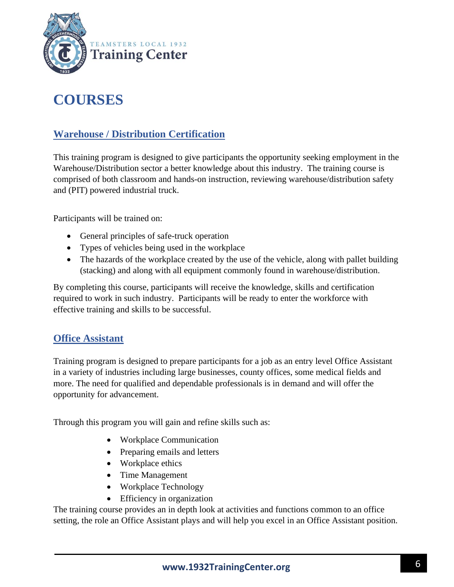

### **COURSES**

#### **Warehouse / Distribution Certification**

This training program is designed to give participants the opportunity seeking employment in the Warehouse/Distribution sector a better knowledge about this industry. The training course is comprised of both classroom and hands-on instruction, reviewing warehouse/distribution safety and (PIT) powered industrial truck.

Participants will be trained on:

- General principles of safe-truck operation
- Types of vehicles being used in the workplace
- The hazards of the workplace created by the use of the vehicle, along with pallet building (stacking) and along with all equipment commonly found in warehouse/distribution.

By completing this course, participants will receive the knowledge, skills and certification required to work in such industry. Participants will be ready to enter the workforce with effective training and skills to be successful.

#### **Office Assistant**

Training program is designed to prepare participants for a job as an entry level Office Assistant in a variety of industries including large businesses, county offices, some medical fields and more. The need for qualified and dependable professionals is in demand and will offer the opportunity for advancement.

Through this program you will gain and refine skills such as:

- Workplace Communication
- Preparing emails and letters
- Workplace ethics
- Time Management
- Workplace Technology
- Efficiency in organization

The training course provides an in depth look at activities and functions common to an office setting, the role an Office Assistant plays and will help you excel in an Office Assistant position.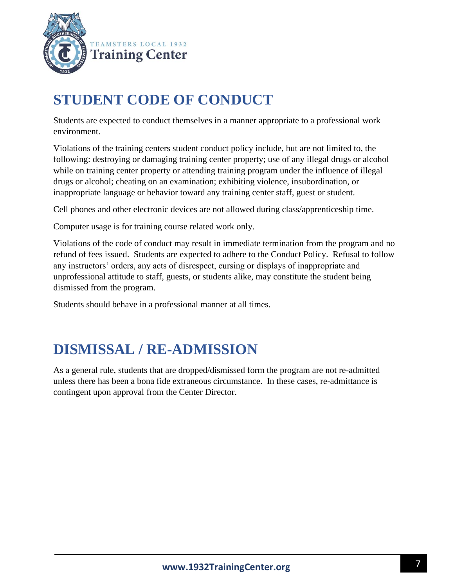

### **STUDENT CODE OF CONDUCT**

Students are expected to conduct themselves in a manner appropriate to a professional work environment.

Violations of the training centers student conduct policy include, but are not limited to, the following: destroying or damaging training center property; use of any illegal drugs or alcohol while on training center property or attending training program under the influence of illegal drugs or alcohol; cheating on an examination; exhibiting violence, insubordination, or inappropriate language or behavior toward any training center staff, guest or student.

Cell phones and other electronic devices are not allowed during class/apprenticeship time.

Computer usage is for training course related work only.

Violations of the code of conduct may result in immediate termination from the program and no refund of fees issued. Students are expected to adhere to the Conduct Policy. Refusal to follow any instructors' orders, any acts of disrespect, cursing or displays of inappropriate and unprofessional attitude to staff, guests, or students alike, may constitute the student being dismissed from the program.

Students should behave in a professional manner at all times.

### **DISMISSAL / RE-ADMISSION**

As a general rule, students that are dropped/dismissed form the program are not re-admitted unless there has been a bona fide extraneous circumstance. In these cases, re-admittance is contingent upon approval from the Center Director.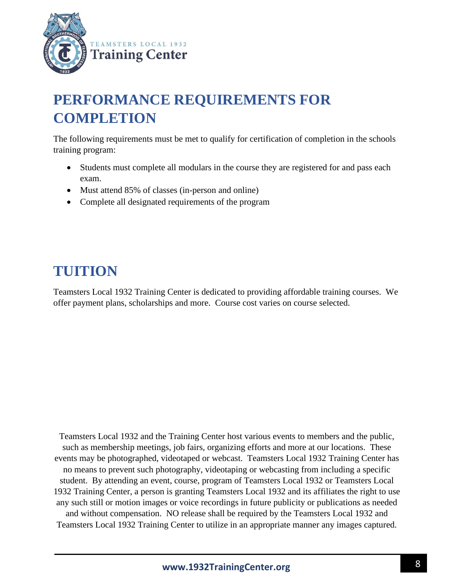

### **PERFORMANCE REQUIREMENTS FOR COMPLETION**

The following requirements must be met to qualify for certification of completion in the schools training program:

- Students must complete all modulars in the course they are registered for and pass each exam.
- Must attend 85% of classes (in-person and online)
- Complete all designated requirements of the program

### **TUITION**

Teamsters Local 1932 Training Center is dedicated to providing affordable training courses. We offer payment plans, scholarships and more. Course cost varies on course selected.

Teamsters Local 1932 and the Training Center host various events to members and the public, such as membership meetings, job fairs, organizing efforts and more at our locations. These events may be photographed, videotaped or webcast. Teamsters Local 1932 Training Center has no means to prevent such photography, videotaping or webcasting from including a specific student. By attending an event, course, program of Teamsters Local 1932 or Teamsters Local 1932 Training Center, a person is granting Teamsters Local 1932 and its affiliates the right to use any such still or motion images or voice recordings in future publicity or publications as needed and without compensation. NO release shall be required by the Teamsters Local 1932 and Teamsters Local 1932 Training Center to utilize in an appropriate manner any images captured.